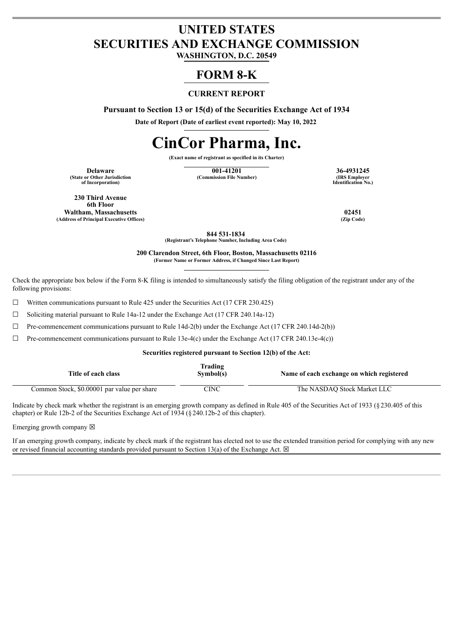# **UNITED STATES SECURITIES AND EXCHANGE COMMISSION**

**WASHINGTON, D.C. 20549**

## **FORM 8-K**

#### **CURRENT REPORT**

**Pursuant to Section 13 or 15(d) of the Securities Exchange Act of 1934**

**Date of Report (Date of earliest event reported): May 10, 2022**

# **CinCor Pharma, Inc.**

**(Exact name of registrant as specified in its Charter)**

**(State or Other Jurisdiction of Incorporation)**

**Delaware 001-41201 36-4931245 (Commission File Number)** 

**Identification No.)**

**230 Third Avenue 6th Floor Waltham, Massachusetts 02451 (Address of Principal Executive Offices) (Zip Code)**

**844 531-1834 (Registrant's Telephone Number, Including Area Code)**

**200 Clarendon Street, 6th Floor, Boston, Massachusetts 02116 (Former Name or Former Address, if Changed Since Last Report)**

Check the appropriate box below if the Form 8-K filing is intended to simultaneously satisfy the filing obligation of the registrant under any of the following provisions:

 $\Box$  Written communications pursuant to Rule 425 under the Securities Act (17 CFR 230.425)

 $\Box$  Soliciting material pursuant to Rule 14a-12 under the Exchange Act (17 CFR 240.14a-12)

 $\Box$  Pre-commencement communications pursuant to Rule 14d-2(b) under the Exchange Act (17 CFR 240.14d-2(b))

 $\Box$  Pre-commencement communications pursuant to Rule 13e-4(c) under the Exchange Act (17 CFR 240.13e-4(c))

#### **Securities registered pursuant to Section 12(b) of the Act:**

| Title of each class                         | Trading<br>Symbol(s) | Name of each exchange on which registered |
|---------------------------------------------|----------------------|-------------------------------------------|
| Common Stock, \$0.00001 par value per share | CINC                 | The NASDAO Stock Market LLC               |

Indicate by check mark whether the registrant is an emerging growth company as defined in Rule 405 of the Securities Act of 1933 (§230.405 of this chapter) or Rule 12b-2 of the Securities Exchange Act of 1934 (§240.12b-2 of this chapter).

Emerging growth company  $\boxtimes$ 

If an emerging growth company, indicate by check mark if the registrant has elected not to use the extended transition period for complying with any new or revised financial accounting standards provided pursuant to Section 13(a) of the Exchange Act.  $\boxtimes$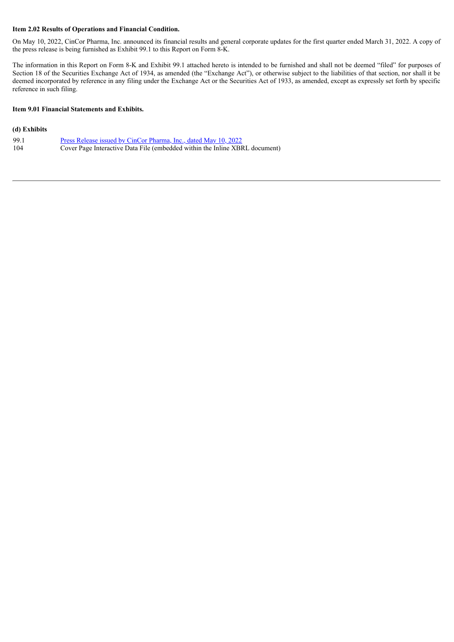#### **Item 2.02 Results of Operations and Financial Condition.**

On May 10, 2022, CinCor Pharma, Inc. announced its financial results and general corporate updates for the first quarter ended March 31, 2022. A copy of the press release is being furnished as Exhibit 99.1 to this Report on Form 8-K.

The information in this Report on Form 8-K and Exhibit 99.1 attached hereto is intended to be furnished and shall not be deemed "filed" for purposes of Section 18 of the Securities Exchange Act of 1934, as amended (the "Exchange Act"), or otherwise subject to the liabilities of that section, nor shall it be deemed incorporated by reference in any filing under the Exchange Act or the Securities Act of 1933, as amended, except as expressly set forth by specific reference in such filing.

#### **Item 9.01 Financial Statements and Exhibits.**

#### **(d) Exhibits**

| 99.1 | <u>Press Release issued by CinCor Pharma, Inc., dated May 10, 2022</u>      |
|------|-----------------------------------------------------------------------------|
| 104  | Cover Page Interactive Data File (embedded within the Inline XBRL document) |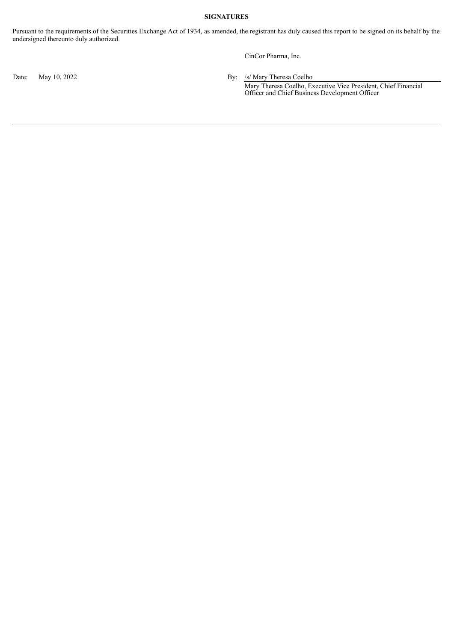#### **SIGNATURES**

Pursuant to the requirements of the Securities Exchange Act of 1934, as amended, the registrant has duly caused this report to be signed on its behalf by the undersigned thereunto duly authorized.

CinCor Pharma, Inc.

Date: May 10, 2022 By: /s/ Mary Theresa Coelho Mary Theresa Coelho, Executive Vice President, Chief Financial Officer and Chief Business Development Officer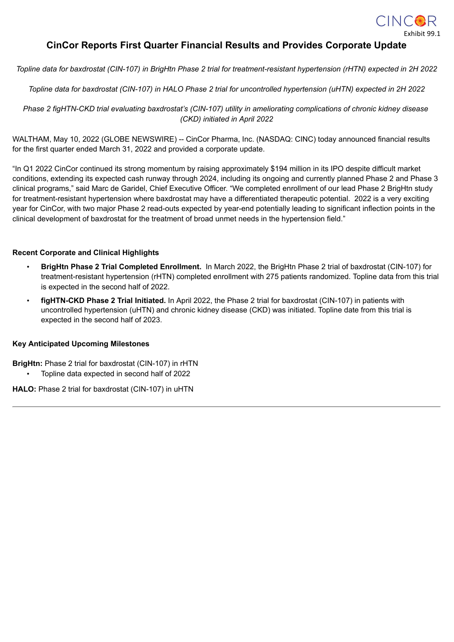

### <span id="page-3-0"></span>**CinCor Reports First Quarter Financial Results and Provides Corporate Update**

Topline data for baxdrostat (CIN-107) in BrigHtn Phase 2 trial for treatment-resistant hypertension (rHTN) expected in 2H 2022

Topline data for baxdrostat (CIN-107) in HALO Phase 2 trial for uncontrolled hypertension (uHTN) expected in 2H 2022

Phase 2 figHTN-CKD trial evaluating baxdrostat's (CIN-107) utility in ameliorating complications of chronic kidney disease *(CKD) initiated in April 2022*

WALTHAM, May 10, 2022 (GLOBE NEWSWIRE) -- CinCor Pharma, Inc. (NASDAQ: CINC) today announced financial results for the first quarter ended March 31, 2022 and provided a corporate update.

"In Q1 2022 CinCor continued its strong momentum by raising approximately \$194 million in its IPO despite difficult market conditions, extending its expected cash runway through 2024, including its ongoing and currently planned Phase 2 and Phase 3 clinical programs," said Marc de Garidel, Chief Executive Officer. "We completed enrollment of our lead Phase 2 BrigHtn study for treatment-resistant hypertension where baxdrostat may have a differentiated therapeutic potential. 2022 is a very exciting year for CinCor, with two major Phase 2 read-outs expected by year-end potentially leading to significant inflection points in the clinical development of baxdrostat for the treatment of broad unmet needs in the hypertension field."

#### **Recent Corporate and Clinical Highlights**

- **BrigHtn Phase 2 Trial Completed Enrollment.** In March 2022, the BrigHtn Phase 2 trial of baxdrostat (CIN-107) for treatment-resistant hypertension (rHTN) completed enrollment with 275 patients randomized. Topline data from this trial is expected in the second half of 2022.
- **figHTN-CKD Phase 2 Trial Initiated.** In April 2022, the Phase 2 trial for baxdrostat (CIN-107) in patients with uncontrolled hypertension (uHTN) and chronic kidney disease (CKD) was initiated. Topline date from this trial is expected in the second half of 2023.

#### **Key Anticipated Upcoming Milestones**

**BrigHtn:** Phase 2 trial for baxdrostat (CIN-107) in rHTN

• Topline data expected in second half of 2022

**HALO:** Phase 2 trial for baxdrostat (CIN-107) in uHTN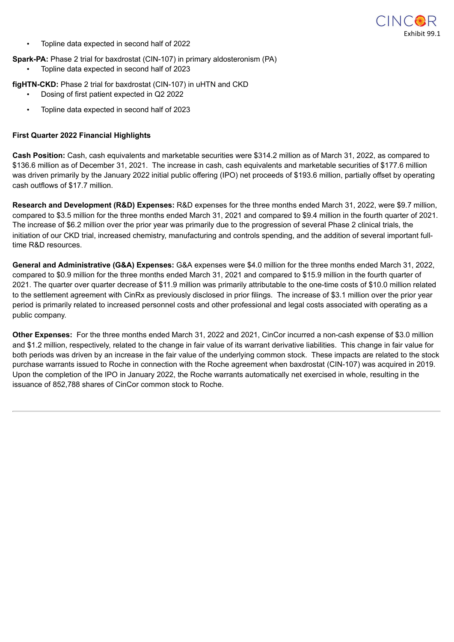

• Topline data expected in second half of 2022

#### **Spark-PA:** Phase 2 trial for baxdrostat (CIN-107) in primary aldosteronism (PA)

• Topline data expected in second half of 2023

#### **figHTN-CKD:** Phase 2 trial for baxdrostat (CIN-107) in uHTN and CKD

- Dosing of first patient expected in Q2 2022
- Topline data expected in second half of 2023

#### **First Quarter 2022 Financial Highlights**

**Cash Position:** Cash, cash equivalents and marketable securities were \$314.2 million as of March 31, 2022, as compared to \$136.6 million as of December 31, 2021. The increase in cash, cash equivalents and marketable securities of \$177.6 million was driven primarily by the January 2022 initial public offering (IPO) net proceeds of \$193.6 million, partially offset by operating cash outflows of \$17.7 million.

**Research and Development (R&D) Expenses:** R&D expenses for the three months ended March 31, 2022, were \$9.7 million, compared to \$3.5 million for the three months ended March 31, 2021 and compared to \$9.4 million in the fourth quarter of 2021. The increase of \$6.2 million over the prior year was primarily due to the progression of several Phase 2 clinical trials, the initiation of our CKD trial, increased chemistry, manufacturing and controls spending, and the addition of several important fulltime R&D resources.

**General and Administrative (G&A) Expenses:** G&A expenses were \$4.0 million for the three months ended March 31, 2022, compared to \$0.9 million for the three months ended March 31, 2021 and compared to \$15.9 million in the fourth quarter of 2021. The quarter over quarter decrease of \$11.9 million was primarily attributable to the one-time costs of \$10.0 million related to the settlement agreement with CinRx as previously disclosed in prior filings. The increase of \$3.1 million over the prior year period is primarily related to increased personnel costs and other professional and legal costs associated with operating as a public company.

**Other Expenses:** For the three months ended March 31, 2022 and 2021, CinCor incurred a non-cash expense of \$3.0 million and \$1.2 million, respectively, related to the change in fair value of its warrant derivative liabilities. This change in fair value for both periods was driven by an increase in the fair value of the underlying common stock. These impacts are related to the stock purchase warrants issued to Roche in connection with the Roche agreement when baxdrostat (CIN-107) was acquired in 2019. Upon the completion of the IPO in January 2022, the Roche warrants automatically net exercised in whole, resulting in the issuance of 852,788 shares of CinCor common stock to Roche.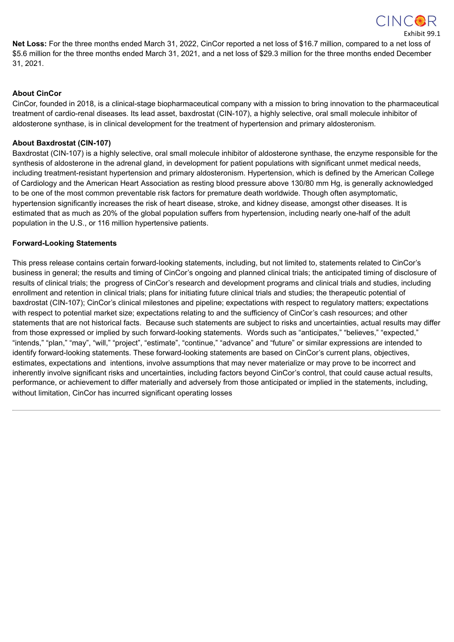

Exhibit 99.1

**Net Loss:** For the three months ended March 31, 2022, CinCor reported a net loss of \$16.7 million, compared to a net loss of \$5.6 million for the three months ended March 31, 2021, and a net loss of \$29.3 million for the three months ended December 31, 2021.

#### **About CinCor**

CinCor, founded in 2018, is a clinical-stage biopharmaceutical company with a mission to bring innovation to the pharmaceutical treatment of cardio-renal diseases. Its lead asset, baxdrostat (CIN-107), a highly selective, oral small molecule inhibitor of aldosterone synthase, is in clinical development for the treatment of hypertension and primary aldosteronism.

#### **About Baxdrostat (CIN-107)**

Baxdrostat (CIN-107) is a highly selective, oral small molecule inhibitor of aldosterone synthase, the enzyme responsible for the synthesis of aldosterone in the adrenal gland, in development for patient populations with significant unmet medical needs, including treatment-resistant hypertension and primary aldosteronism. Hypertension, which is defined by the American College of Cardiology and the American Heart Association as resting blood pressure above 130/80 mm Hg, is generally acknowledged to be one of the most common preventable risk factors for premature death worldwide. Though often asymptomatic, hypertension significantly increases the risk of heart disease, stroke, and kidney disease, amongst other diseases. It is estimated that as much as 20% of the global population suffers from hypertension, including nearly one-half of the adult population in the U.S., or 116 million hypertensive patients.

#### **Forward-Looking Statements**

This press release contains certain forward-looking statements, including, but not limited to, statements related to CinCor's business in general; the results and timing of CinCor's ongoing and planned clinical trials; the anticipated timing of disclosure of results of clinical trials; the progress of CinCor's research and development programs and clinical trials and studies, including enrollment and retention in clinical trials; plans for initiating future clinical trials and studies; the therapeutic potential of baxdrostat (CIN-107); CinCor's clinical milestones and pipeline; expectations with respect to regulatory matters; expectations with respect to potential market size; expectations relating to and the sufficiency of CinCor's cash resources; and other statements that are not historical facts. Because such statements are subject to risks and uncertainties, actual results may differ from those expressed or implied by such forward-looking statements. Words such as "anticipates," "believes," "expected," "intends," "plan," "may", "will," "project", "estimate", "continue," "advance" and "future" or similar expressions are intended to identify forward-looking statements. These forward-looking statements are based on CinCor's current plans, objectives, estimates, expectations and intentions, involve assumptions that may never materialize or may prove to be incorrect and inherently involve significant risks and uncertainties, including factors beyond CinCor's control, that could cause actual results, performance, or achievement to differ materially and adversely from those anticipated or implied in the statements, including, without limitation, CinCor has incurred significant operating losses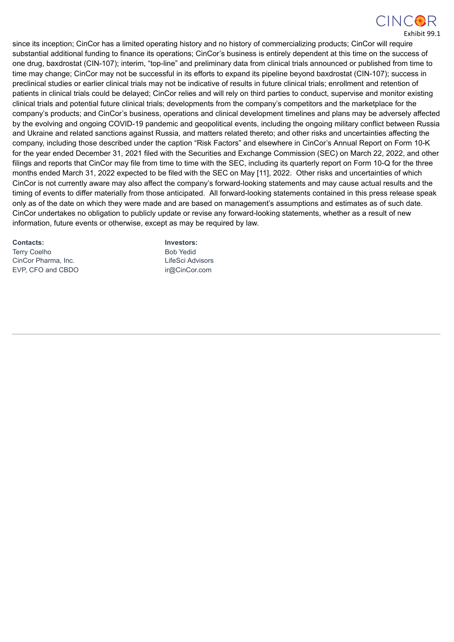

Exhibit 99.1

since its inception; CinCor has a limited operating history and no history of commercializing products; CinCor will require substantial additional funding to finance its operations; CinCor's business is entirely dependent at this time on the success of one drug, baxdrostat (CIN-107); interim, "top-line" and preliminary data from clinical trials announced or published from time to time may change; CinCor may not be successful in its efforts to expand its pipeline beyond baxdrostat (CIN-107); success in preclinical studies or earlier clinical trials may not be indicative of results in future clinical trials; enrollment and retention of patients in clinical trials could be delayed; CinCor relies and will rely on third parties to conduct, supervise and monitor existing clinical trials and potential future clinical trials; developments from the company's competitors and the marketplace for the company's products; and CinCor's business, operations and clinical development timelines and plans may be adversely affected by the evolving and ongoing COVID-19 pandemic and geopolitical events, including the ongoing military conflict between Russia and Ukraine and related sanctions against Russia, and matters related thereto; and other risks and uncertainties affecting the company, including those described under the caption "Risk Factors" and elsewhere in CinCor's Annual Report on Form 10-K for the year ended December 31, 2021 filed with the Securities and Exchange Commission (SEC) on March 22, 2022, and other filings and reports that CinCor may file from time to time with the SEC, including its quarterly report on Form 10-Q for the three months ended March 31, 2022 expected to be filed with the SEC on May [11], 2022. Other risks and uncertainties of which CinCor is not currently aware may also affect the company's forward-looking statements and may cause actual results and the timing of events to differ materially from those anticipated. All forward-looking statements contained in this press release speak only as of the date on which they were made and are based on management's assumptions and estimates as of such date. CinCor undertakes no obligation to publicly update or revise any forward-looking statements, whether as a result of new information, future events or otherwise, except as may be required by law.

Terry Coelho **Bob Yedid** Bob Yedid CinCor Pharma, Inc. **LifeSci Advisors** EVP, CFO and CBDO irm irm irm irm irm irm irm in the community of the community of the community of the community of the community of the community of the community of the community of the community of the community of the

**Contacts: Investors:**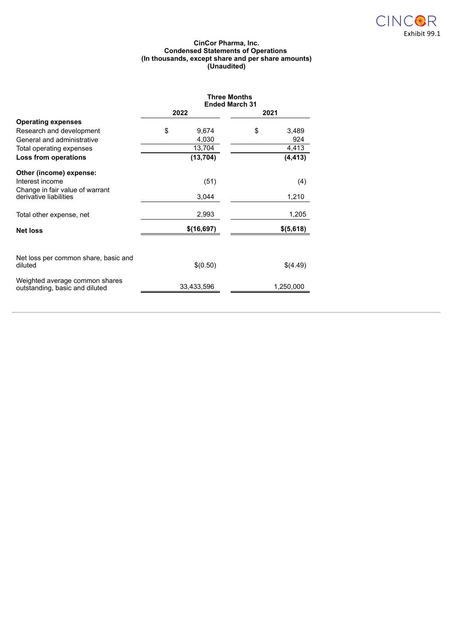

#### **CinCor Pharma, Inc. Condensed Statements of Operations (In thousands, except share and per share amounts) (Unaudited)**

|                                      | <b>Three Months</b><br><b>Ended March 31</b> |            |    |           |  |
|--------------------------------------|----------------------------------------------|------------|----|-----------|--|
|                                      |                                              | 2022       |    | 2021      |  |
| <b>Operating expenses</b>            |                                              |            |    |           |  |
| Research and development             | \$                                           | 9,674      | \$ | 3,489     |  |
| General and administrative           |                                              | 4,030      |    | 924       |  |
| Total operating expenses             |                                              | 13,704     |    | 4,413     |  |
| Loss from operations                 |                                              | (13, 704)  |    | (4, 413)  |  |
| Other (income) expense:              |                                              |            |    |           |  |
| Interest income                      |                                              | (51)       |    | (4)       |  |
| Change in fair value of warrant      |                                              |            |    |           |  |
| derivative liabilities               |                                              | 3,044      |    | 1,210     |  |
| Total other expense, net             |                                              | 2,993      |    | 1,205     |  |
| <b>Net loss</b>                      |                                              | \$(16,697) |    | \$(5,618) |  |
|                                      |                                              |            |    |           |  |
| Net loss per common share, basic and |                                              |            |    |           |  |
| diluted                              |                                              | \$(0.50)   |    | \$(4.49)  |  |
| Weighted average common shares       |                                              |            |    |           |  |
| outstanding, basic and diluted       |                                              | 33,433,596 |    | 1,250,000 |  |